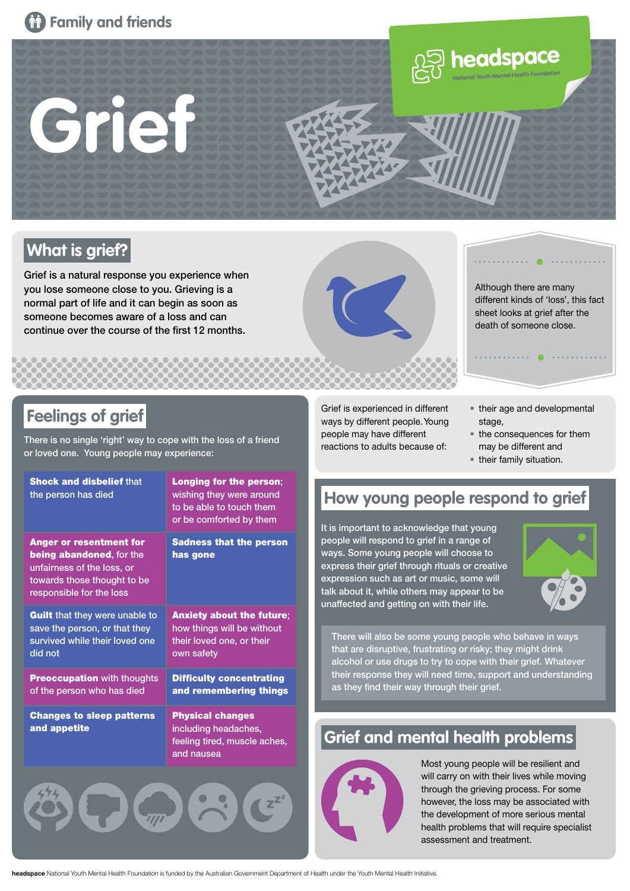



## **What is grief?**

Grief is a natural response you experience when you lose someone close to you. Grieving is a normal part of life and it can begin as soon as someone becomes aware of a loss and can continue over the course of the first 12 months.



Although there are many different kinds of 'loss', this fact sheet looks at grief after the death of someone close.

### **Feelings of grief**

There is no single 'right' way to cope with the loss of a friend or loved one. Young people may experience:

| <b>Shock and disbelief that</b><br>the person has died                                                                                                     | Longing for the person;<br>wishing they were around<br>to be able to touch them<br>or be comforted by them |
|------------------------------------------------------------------------------------------------------------------------------------------------------------|------------------------------------------------------------------------------------------------------------|
| <b>Anger or resentment for</b><br><b>being abandoned, for the</b><br>unfairness of the loss, or<br>towards those thought to be<br>responsible for the loss | <b>Sadness that the person</b><br>has gone                                                                 |
| <b>Guilt</b> that they were unable to<br>save the person, or that they<br>survived while their loved one<br>did not                                        | <b>Anxiety about the future:</b><br>how things will be without<br>their loved one, or their<br>own safety  |
| <b>Preoccupation with thoughts</b><br>of the person who has died                                                                                           | <b>Difficulty concentrating</b><br>and remembering things                                                  |
| <b>Changes to sleep patterns</b><br>and appetite                                                                                                           | <b>Physical changes</b><br>including headaches,<br>feeling tired, muscle aches,<br>and nausea              |
|                                                                                                                                                            |                                                                                                            |

Grief is experienced in different ways by different people. Young people may have different reactions to adults because of:

- their age and developmental stage.
- the consequences for them may be different and
- their family situation.

### **How young people respond to grief**

It is important to acknowledge that young people will respond to grief in a range of ways. Some young people will choose to express their grief through rituals or creative expression such as art or music, some will talk about it, while others may appear to be unaffected and getting on with their life.



There will also be some young people who behave in ways that are disruptive, frustrating or risky; they might drink alcohol or use drugs to try to cope with their grief. Whatever their response they will need time, support and understanding as they find their way through their grief.

## **Grief and mental health problems**



Most young people will be resilient and will carry on with their lives while moving through the grieving process. For some however, the loss may be associated with the development of more serious mental health problems that will require specialist assessment and treatment.

**headspace** National Youth Mental Health Foundation is funded by the Australian Government Department of Health under the Youth Mental Health Initiative.